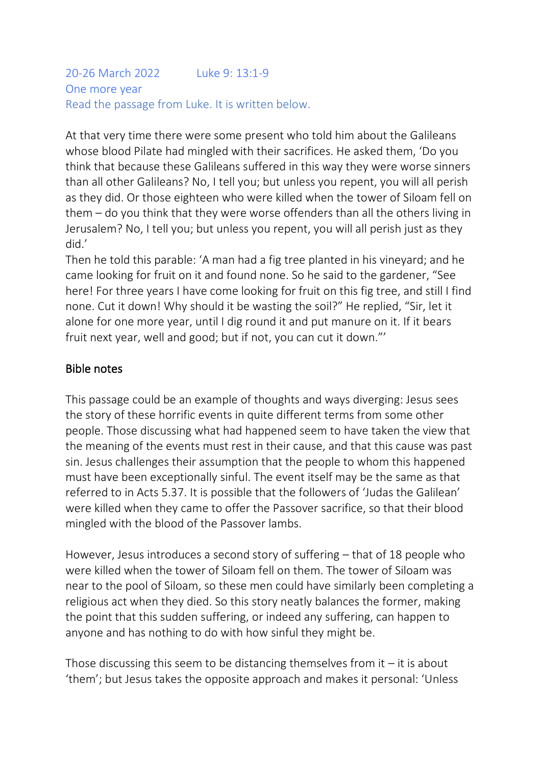#### 20-26 March 2022 Luke 9: 13:1-9 One more year Read the passage from Luke. It is written below.

At that very time there were some present who told him about the Galileans whose blood Pilate had mingled with their sacrifices. He asked them, 'Do you think that because these Galileans suffered in this way they were worse sinners than all other Galileans? No, I tell you; but unless you repent, you will all perish as they did. Or those eighteen who were killed when the tower of Siloam fell on them – do you think that they were worse offenders than all the others living in Jerusalem? No, I tell you; but unless you repent, you will all perish just as they did.'

Then he told this parable: 'A man had a fig tree planted in his vineyard; and he came looking for fruit on it and found none. So he said to the gardener, "See here! For three years I have come looking for fruit on this fig tree, and still I find none. Cut it down! Why should it be wasting the soil?" He replied, "Sir, let it alone for one more year, until I dig round it and put manure on it. If it bears fruit next year, well and good; but if not, you can cut it down."'

### Bible notes

This passage could be an example of thoughts and ways diverging: Jesus sees the story of these horrific events in quite different terms from some other people. Those discussing what had happened seem to have taken the view that the meaning of the events must rest in their cause, and that this cause was past sin. Jesus challenges their assumption that the people to whom this happened must have been exceptionally sinful. The event itself may be the same as that referred to in Acts 5.37. It is possible that the followers of 'Judas the Galilean' were killed when they came to offer the Passover sacrifice, so that their blood mingled with the blood of the Passover lambs.

However, Jesus introduces a second story of suffering – that of 18 people who were killed when the tower of Siloam fell on them. The tower of Siloam was near to the pool of Siloam, so these men could have similarly been completing a religious act when they died. So this story neatly balances the former, making the point that this sudden suffering, or indeed any suffering, can happen to anyone and has nothing to do with how sinful they might be.

Those discussing this seem to be distancing themselves from it  $-$  it is about 'them'; but Jesus takes the opposite approach and makes it personal: 'Unless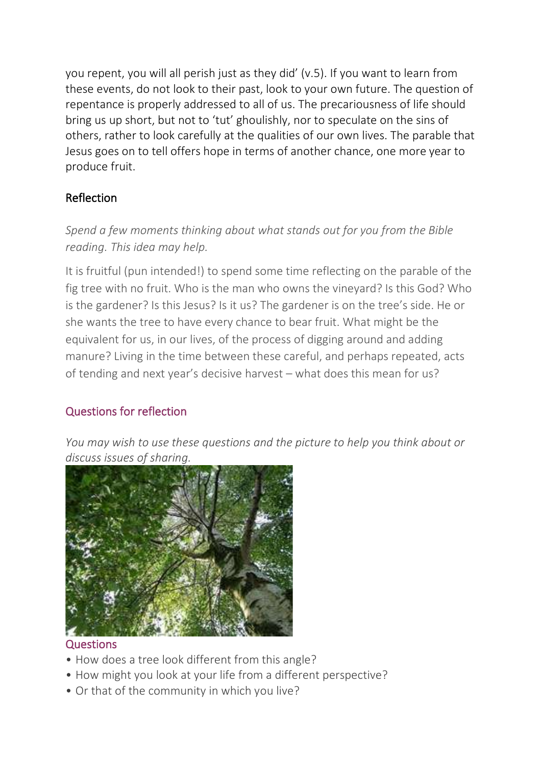you repent, you will all perish just as they did' (v.5). If you want to learn from these events, do not look to their past, look to your own future. The question of repentance is properly addressed to all of us. The precariousness of life should bring us up short, but not to 'tut' ghoulishly, nor to speculate on the sins of others, rather to look carefully at the qualities of our own lives. The parable that Jesus goes on to tell offers hope in terms of another chance, one more year to produce fruit.

# Reflection

# *Spend a few moments thinking about what stands out for you from the Bible reading. This idea may help.*

It is fruitful (pun intended!) to spend some time reflecting on the parable of the fig tree with no fruit. Who is the man who owns the vineyard? Is this God? Who is the gardener? Is this Jesus? Is it us? The gardener is on the tree's side. He or she wants the tree to have every chance to bear fruit. What might be the equivalent for us, in our lives, of the process of digging around and adding manure? Living in the time between these careful, and perhaps repeated, acts of tending and next year's decisive harvest – what does this mean for us?

# Questions for reflection

*You may wish to use these questions and the picture to help you think about or discuss issues of sharing.*



# **Questions**

- How does a tree look different from this angle?
- How might you look at your life from a different perspective?
- Or that of the community in which you live?